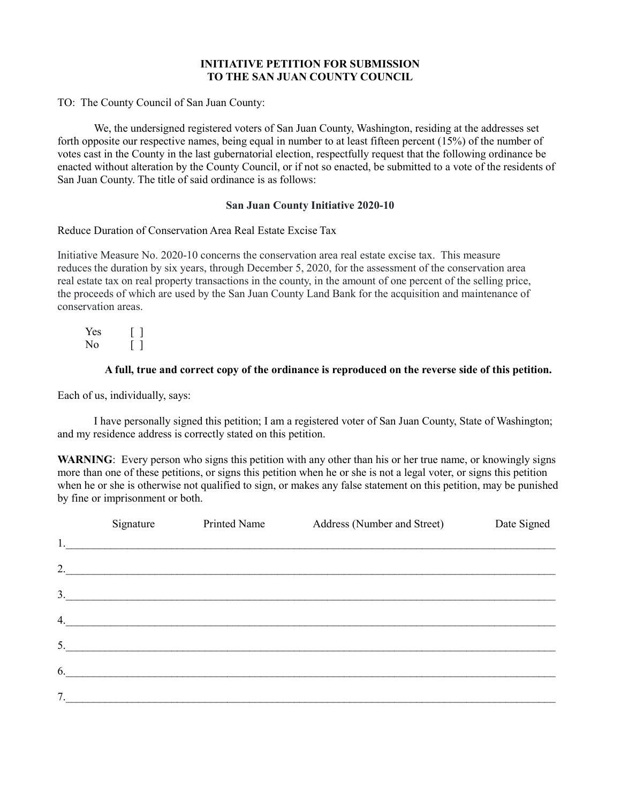# INITIATIVE PETITION FOR SUBMISSION TO THE SAN JUAN COUNTY COUNCIL

TO: The County Council of San Juan County:

 We, the undersigned registered voters of San Juan County, Washington, residing at the addresses set forth opposite our respective names, being equal in number to at least fifteen percent (15%) of the number of votes cast in the County in the last gubernatorial election, respectfully request that the following ordinance be enacted without alteration by the County Council, or if not so enacted, be submitted to a vote of the residents of San Juan County. The title of said ordinance is as follows:

## San Juan County Initiative 2020-10

## Reduce Duration of Conservation Area Real Estate Excise Tax

Initiative Measure No. 2020-10 concerns the conservation area real estate excise tax. This measure reduces the duration by six years, through December 5, 2020, for the assessment of the conservation area real estate tax on real property transactions in the county, in the amount of one percent of the selling price, the proceeds of which are used by the San Juan County Land Bank for the acquisition and maintenance of conservation areas.

Yes [ ]  $\begin{bmatrix} \n\end{bmatrix}$ 

# A full, true and correct copy of the ordinance is reproduced on the reverse side of this petition.

Each of us, individually, says:

I have personally signed this petition; I am a registered voter of San Juan County, State of Washington; and my residence address is correctly stated on this petition.

WARNING: Every person who signs this petition with any other than his or her true name, or knowingly signs more than one of these petitions, or signs this petition when he or she is not a legal voter, or signs this petition when he or she is otherwise not qualified to sign, or makes any false statement on this petition, may be punished by fine or imprisonment or both.

|    | Signature | Printed Name     | Address (Number and Street)                     | Date Signed |
|----|-----------|------------------|-------------------------------------------------|-------------|
|    |           |                  |                                                 |             |
|    |           |                  |                                                 |             |
|    |           |                  | $\begin{array}{c} \hline \text{3.} \end{array}$ |             |
|    |           | 4.               |                                                 |             |
|    |           | 5.               |                                                 |             |
|    |           | $\overline{6}$ . |                                                 |             |
| 7. |           |                  |                                                 |             |